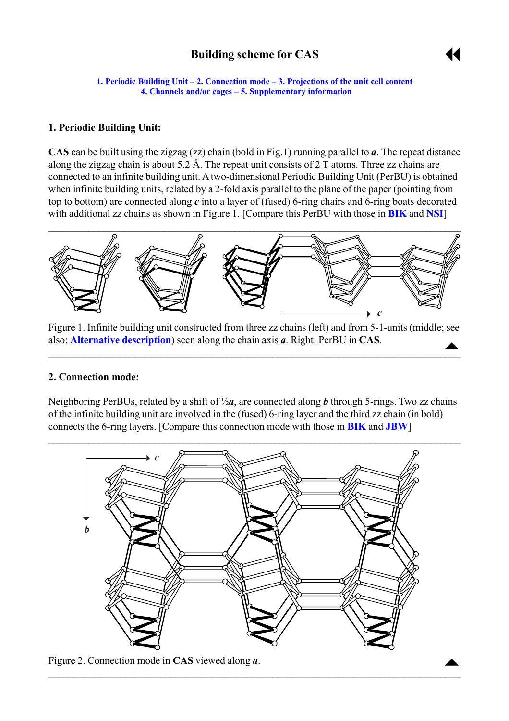# **Building scheme for CAS**



<span id="page-0-0"></span>**1. Periodic Building Unit – 2. Connection mode – [3. Projections of the unit cell](#page-1-0) content [4. Channels and/or cages](#page-1-0) – [5. Supplementary information](#page-2-0)** 

## **1. Periodic Building Unit:**

**CAS** can be built using the zigzag (zz) chain (bold in Fig.1) running parallel to *a*. The repeat distance along the zigzag chain is about 5.2 Å. The repeat unit consists of 2 T atoms. Three zz chains are connected to an infinite building unit. A two-dimensional Periodic Building Unit (PerBU) is obtained when infinite building units, related by a 2-fold axis parallel to the plane of the paper (pointing from top to bottom) are connected along *c* into a layer of (fused) 6-ring chairs and 6-ring boats decorated with additional zz chains as shown in Figure 1. [Compare this PerBU with those in **[BIK](http://www.iza-structure.org/databases/ModelBuilding/BIK.pdf)** and **[NSI](http://www.iza-structure.org/databases/ModelBuilding/NSI.pdf)**]



Figure 1. Infinite building unit constructed from three zz chains (left) and from 5-1-units (middle; see also: **[Alternative description](#page-2-0)**) seen along the chain axis *a*. Right: PerBU in **CAS**.  $\begin{array}{c}\n\blacktriangle\n\end{array}$ 

 $\mathcal{L}_\mathcal{L} = \mathcal{L}_\mathcal{L} = \mathcal{L}_\mathcal{L} = \mathcal{L}_\mathcal{L} = \mathcal{L}_\mathcal{L} = \mathcal{L}_\mathcal{L} = \mathcal{L}_\mathcal{L} = \mathcal{L}_\mathcal{L} = \mathcal{L}_\mathcal{L} = \mathcal{L}_\mathcal{L} = \mathcal{L}_\mathcal{L} = \mathcal{L}_\mathcal{L} = \mathcal{L}_\mathcal{L} = \mathcal{L}_\mathcal{L} = \mathcal{L}_\mathcal{L} = \mathcal{L}_\mathcal{L} = \mathcal{L}_\mathcal{L}$ 

#### **2. Connection mode:**

Neighboring PerBUs, related by a shift of ½*a*, are connected along *b* through 5-rings. Two zz chains of the infinite building unit are involved in the (fused) 6-ring layer and the third zz chain (in bold) connects the 6-ring layers. [Compare this connection mode with those in **[BIK](http://www.iza-structure.org/databases/ModelBuilding/BIK.pdf)** and **[JBW](http://www.iza-structure.org/databases/ModelBuilding/JBW.pdf)**]



 $\mathcal{L}_\mathcal{L} = \{ \mathcal{L}_\mathcal{L} = \{ \mathcal{L}_\mathcal{L} = \{ \mathcal{L}_\mathcal{L} = \{ \mathcal{L}_\mathcal{L} = \{ \mathcal{L}_\mathcal{L} = \{ \mathcal{L}_\mathcal{L} = \{ \mathcal{L}_\mathcal{L} = \{ \mathcal{L}_\mathcal{L} = \{ \mathcal{L}_\mathcal{L} = \{ \mathcal{L}_\mathcal{L} = \{ \mathcal{L}_\mathcal{L} = \{ \mathcal{L}_\mathcal{L} = \{ \mathcal{L}_\mathcal{L} = \{ \mathcal{L}_\mathcal{$ 

Figure 2. Connection mode in **CAS** viewed along *a*.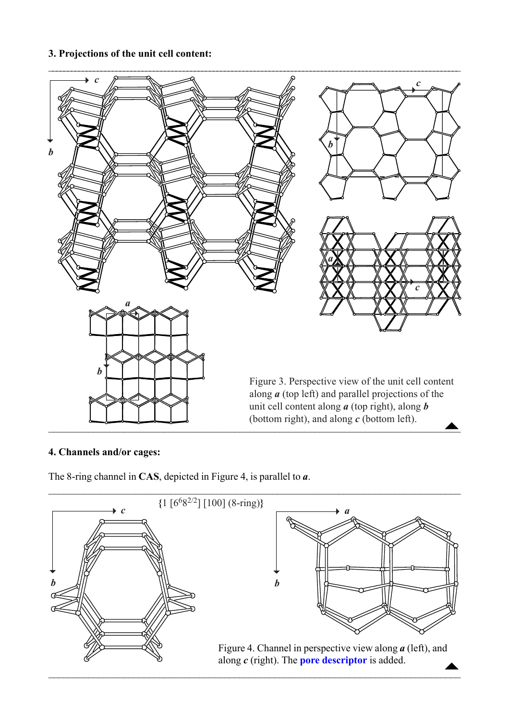## <span id="page-1-0"></span>**3. Projections of the unit cell content:**



#### **4. Channels and/or cages:**

The 8-ring channel in **CAS**, depicted in Figure 4, is parallel to *a*.